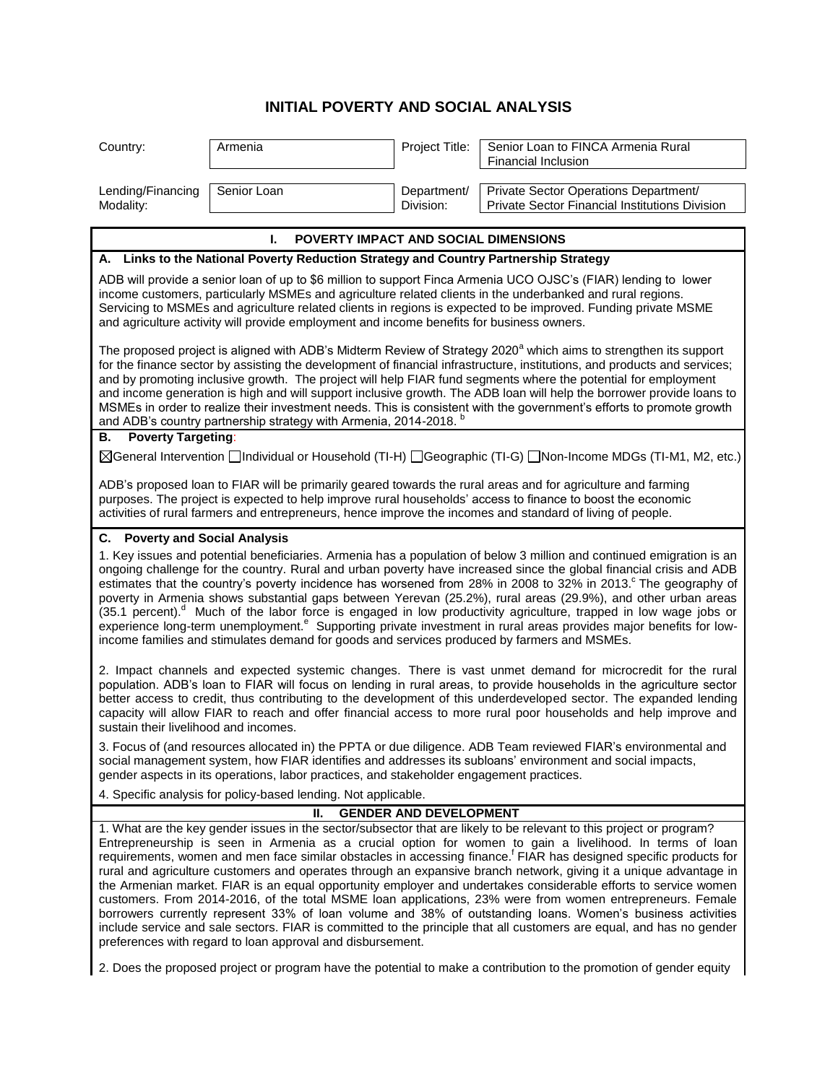## **INITIAL POVERTY AND SOCIAL ANALYSIS**

| Country:                                                                                                                                                                                                                                                                                                                                                                                                                                                                                                                                                                                                                                                                                                                                                                                                                                                                                                                                                                                                                   | Armenia     | Project Title:           | Senior Loan to FINCA Armenia Rural<br>Financial Inclusion                               |  |
|----------------------------------------------------------------------------------------------------------------------------------------------------------------------------------------------------------------------------------------------------------------------------------------------------------------------------------------------------------------------------------------------------------------------------------------------------------------------------------------------------------------------------------------------------------------------------------------------------------------------------------------------------------------------------------------------------------------------------------------------------------------------------------------------------------------------------------------------------------------------------------------------------------------------------------------------------------------------------------------------------------------------------|-------------|--------------------------|-----------------------------------------------------------------------------------------|--|
| Lending/Financing<br>Modality:                                                                                                                                                                                                                                                                                                                                                                                                                                                                                                                                                                                                                                                                                                                                                                                                                                                                                                                                                                                             | Senior Loan | Department/<br>Division: | Private Sector Operations Department/<br>Private Sector Financial Institutions Division |  |
| POVERTY IMPACT AND SOCIAL DIMENSIONS<br>L.                                                                                                                                                                                                                                                                                                                                                                                                                                                                                                                                                                                                                                                                                                                                                                                                                                                                                                                                                                                 |             |                          |                                                                                         |  |
| A. Links to the National Poverty Reduction Strategy and Country Partnership Strategy                                                                                                                                                                                                                                                                                                                                                                                                                                                                                                                                                                                                                                                                                                                                                                                                                                                                                                                                       |             |                          |                                                                                         |  |
| ADB will provide a senior loan of up to \$6 million to support Finca Armenia UCO OJSC's (FIAR) lending to lower<br>income customers, particularly MSMEs and agriculture related clients in the underbanked and rural regions.<br>Servicing to MSMEs and agriculture related clients in regions is expected to be improved. Funding private MSME<br>and agriculture activity will provide employment and income benefits for business owners.                                                                                                                                                                                                                                                                                                                                                                                                                                                                                                                                                                               |             |                          |                                                                                         |  |
| The proposed project is aligned with ADB's Midterm Review of Strategy 2020 <sup>a</sup> which aims to strengthen its support<br>for the finance sector by assisting the development of financial infrastructure, institutions, and products and services;<br>and by promoting inclusive growth. The project will help FIAR fund segments where the potential for employment<br>and income generation is high and will support inclusive growth. The ADB loan will help the borrower provide loans to<br>MSMEs in order to realize their investment needs. This is consistent with the government's efforts to promote growth<br>and ADB's country partnership strategy with Armenia, 2014-2018. <sup>b</sup><br><b>Poverty Targeting:</b>                                                                                                                                                                                                                                                                                  |             |                          |                                                                                         |  |
| В.<br>⊠General Intervention □Individual or Household (TI-H) □Geographic (TI-G) □Non-Income MDGs (TI-M1, M2, etc.)                                                                                                                                                                                                                                                                                                                                                                                                                                                                                                                                                                                                                                                                                                                                                                                                                                                                                                          |             |                          |                                                                                         |  |
| ADB's proposed loan to FIAR will be primarily geared towards the rural areas and for agriculture and farming<br>purposes. The project is expected to help improve rural households' access to finance to boost the economic<br>activities of rural farmers and entrepreneurs, hence improve the incomes and standard of living of people.                                                                                                                                                                                                                                                                                                                                                                                                                                                                                                                                                                                                                                                                                  |             |                          |                                                                                         |  |
| C. Poverty and Social Analysis<br>1. Key issues and potential beneficiaries. Armenia has a population of below 3 million and continued emigration is an<br>ongoing challenge for the country. Rural and urban poverty have increased since the global financial crisis and ADB<br>estimates that the country's poverty incidence has worsened from 28% in 2008 to 32% in 2013. The geography of<br>poverty in Armenia shows substantial gaps between Yerevan (25.2%), rural areas (29.9%), and other urban areas                                                                                                                                                                                                                                                                                                                                                                                                                                                                                                           |             |                          |                                                                                         |  |
| (35.1 percent). <sup>d</sup> Much of the labor force is engaged in low productivity agriculture, trapped in low wage jobs or<br>experience long-term unemployment. <sup>e</sup> Supporting private investment in rural areas provides major benefits for low-<br>income families and stimulates demand for goods and services produced by farmers and MSMEs.                                                                                                                                                                                                                                                                                                                                                                                                                                                                                                                                                                                                                                                               |             |                          |                                                                                         |  |
| 2. Impact channels and expected systemic changes. There is vast unmet demand for microcredit for the rural<br>population. ADB's loan to FIAR will focus on lending in rural areas, to provide households in the agriculture sector<br>better access to credit, thus contributing to the development of this underdeveloped sector. The expanded lending<br>capacity will allow FIAR to reach and offer financial access to more rural poor households and help improve and<br>sustain their livelihood and incomes.                                                                                                                                                                                                                                                                                                                                                                                                                                                                                                        |             |                          |                                                                                         |  |
| 3. Focus of (and resources allocated in) the PPTA or due diligence. ADB Team reviewed FIAR's environmental and<br>social management system, how FIAR identifies and addresses its subloans' environment and social impacts,<br>gender aspects in its operations, labor practices, and stakeholder engagement practices.                                                                                                                                                                                                                                                                                                                                                                                                                                                                                                                                                                                                                                                                                                    |             |                          |                                                                                         |  |
| 4. Specific analysis for policy-based lending. Not applicable.                                                                                                                                                                                                                                                                                                                                                                                                                                                                                                                                                                                                                                                                                                                                                                                                                                                                                                                                                             |             |                          |                                                                                         |  |
| Н.<br><b>GENDER AND DEVELOPMENT</b>                                                                                                                                                                                                                                                                                                                                                                                                                                                                                                                                                                                                                                                                                                                                                                                                                                                                                                                                                                                        |             |                          |                                                                                         |  |
| 1. What are the key gender issues in the sector/subsector that are likely to be relevant to this project or program?<br>Entrepreneurship is seen in Armenia as a crucial option for women to gain a livelihood. In terms of loan<br>requirements, women and men face similar obstacles in accessing finance. <sup>f</sup> FIAR has designed specific products for<br>rural and agriculture customers and operates through an expansive branch network, giving it a unique advantage in<br>the Armenian market. FIAR is an equal opportunity employer and undertakes considerable efforts to service women<br>customers. From 2014-2016, of the total MSME loan applications, 23% were from women entrepreneurs. Female<br>borrowers currently represent 33% of loan volume and 38% of outstanding loans. Women's business activities<br>include service and sale sectors. FIAR is committed to the principle that all customers are equal, and has no gender<br>preferences with regard to loan approval and disbursement. |             |                          |                                                                                         |  |
| 2. Does the proposed project or program have the potential to make a contribution to the promotion of gender equity                                                                                                                                                                                                                                                                                                                                                                                                                                                                                                                                                                                                                                                                                                                                                                                                                                                                                                        |             |                          |                                                                                         |  |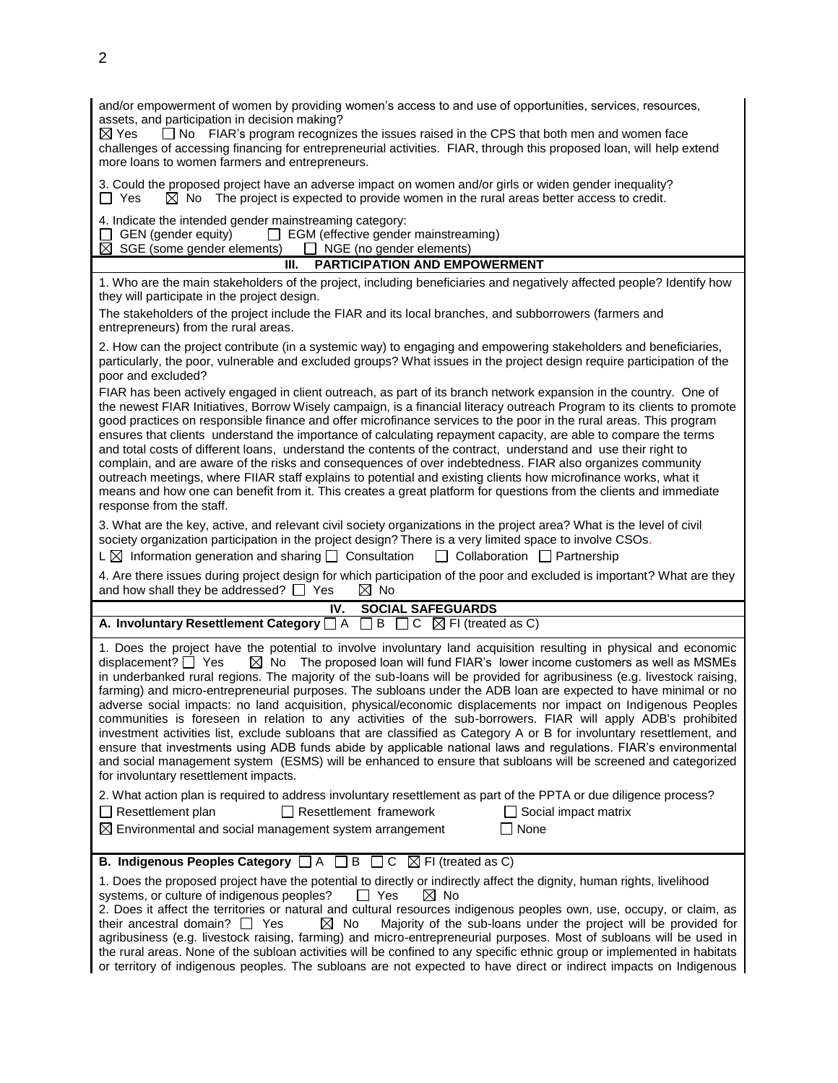| and/or empowerment of women by providing women's access to and use of opportunities, services, resources,<br>assets, and participation in decision making?<br>□ No FIAR's program recognizes the issues raised in the CPS that both men and women face<br>$\boxtimes$ Yes<br>challenges of accessing financing for entrepreneurial activities. FIAR, through this proposed loan, will help extend<br>more loans to women farmers and entrepreneurs.                                                                                                                                                                                                                                                                                                                                                                                                                                                                                                                                                                                                                                                                            |  |  |  |  |
|--------------------------------------------------------------------------------------------------------------------------------------------------------------------------------------------------------------------------------------------------------------------------------------------------------------------------------------------------------------------------------------------------------------------------------------------------------------------------------------------------------------------------------------------------------------------------------------------------------------------------------------------------------------------------------------------------------------------------------------------------------------------------------------------------------------------------------------------------------------------------------------------------------------------------------------------------------------------------------------------------------------------------------------------------------------------------------------------------------------------------------|--|--|--|--|
| 3. Could the proposed project have an adverse impact on women and/or girls or widen gender inequality?<br>$\boxtimes$ No The project is expected to provide women in the rural areas better access to credit.<br>$\Box$ Yes                                                                                                                                                                                                                                                                                                                                                                                                                                                                                                                                                                                                                                                                                                                                                                                                                                                                                                    |  |  |  |  |
| 4. Indicate the intended gender mainstreaming category:<br>$\Box$ EGM (effective gender mainstreaming)<br>GEN (gender equity)<br>$\boxtimes$ SGE (some gender elements)<br>$\Box$ NGE (no gender elements)<br><b>PARTICIPATION AND EMPOWERMENT</b><br>III.                                                                                                                                                                                                                                                                                                                                                                                                                                                                                                                                                                                                                                                                                                                                                                                                                                                                     |  |  |  |  |
| 1. Who are the main stakeholders of the project, including beneficiaries and negatively affected people? Identify how<br>they will participate in the project design.<br>The stakeholders of the project include the FIAR and its local branches, and subborrowers (farmers and<br>entrepreneurs) from the rural areas.                                                                                                                                                                                                                                                                                                                                                                                                                                                                                                                                                                                                                                                                                                                                                                                                        |  |  |  |  |
| 2. How can the project contribute (in a systemic way) to engaging and empowering stakeholders and beneficiaries,<br>particularly, the poor, vulnerable and excluded groups? What issues in the project design require participation of the<br>poor and excluded?                                                                                                                                                                                                                                                                                                                                                                                                                                                                                                                                                                                                                                                                                                                                                                                                                                                               |  |  |  |  |
| FIAR has been actively engaged in client outreach, as part of its branch network expansion in the country. One of<br>the newest FIAR Initiatives, Borrow Wisely campaign, is a financial literacy outreach Program to its clients to promote<br>good practices on responsible finance and offer microfinance services to the poor in the rural areas. This program<br>ensures that clients understand the importance of calculating repayment capacity, are able to compare the terms<br>and total costs of different loans, understand the contents of the contract, understand and use their right to<br>complain, and are aware of the risks and consequences of over indebtedness. FIAR also organizes community<br>outreach meetings, where FIIAR staff explains to potential and existing clients how microfinance works, what it<br>means and how one can benefit from it. This creates a great platform for questions from the clients and immediate<br>response from the staff.                                                                                                                                       |  |  |  |  |
| 3. What are the key, active, and relevant civil society organizations in the project area? What is the level of civil<br>society organization participation in the project design? There is a very limited space to involve CSOs.<br>L $\boxtimes$ Information generation and sharing $\Box$ Consultation<br>$\Box$ Collaboration $\Box$ Partnership                                                                                                                                                                                                                                                                                                                                                                                                                                                                                                                                                                                                                                                                                                                                                                           |  |  |  |  |
| 4. Are there issues during project design for which participation of the poor and excluded is important? What are they<br>and how shall they be addressed? $\Box$ Yes<br>$\boxtimes$ No                                                                                                                                                                                                                                                                                                                                                                                                                                                                                                                                                                                                                                                                                                                                                                                                                                                                                                                                        |  |  |  |  |
| IV.<br><b>SOCIAL SAFEGUARDS</b>                                                                                                                                                                                                                                                                                                                                                                                                                                                                                                                                                                                                                                                                                                                                                                                                                                                                                                                                                                                                                                                                                                |  |  |  |  |
| A. Involuntary Resettlement Category $\Box A \Box B \Box C \Box F$ (treated as C)                                                                                                                                                                                                                                                                                                                                                                                                                                                                                                                                                                                                                                                                                                                                                                                                                                                                                                                                                                                                                                              |  |  |  |  |
| 1. Does the project have the potential to involve involuntary land acquisition resulting in physical and economic<br>$\boxtimes$ No The proposed loan will fund FIAR's lower income customers as well as MSMEs<br>displacement? $\Box$ Yes<br>in underbanked rural regions. The majority of the sub-loans will be provided for agribusiness (e.g. livestock raising,<br>farming) and micro-entrepreneurial purposes. The subloans under the ADB loan are expected to have minimal or no<br>adverse social impacts: no land acquisition, physical/economic displacements nor impact on Indigenous Peoples<br>communities is foreseen in relation to any activities of the sub-borrowers. FIAR will apply ADB's prohibited<br>investment activities list, exclude subloans that are classified as Category A or B for involuntary resettlement, and<br>ensure that investments using ADB funds abide by applicable national laws and regulations. FIAR's environmental<br>and social management system (ESMS) will be enhanced to ensure that subloans will be screened and categorized<br>for involuntary resettlement impacts. |  |  |  |  |
| 2. What action plan is required to address involuntary resettlement as part of the PPTA or due diligence process?<br>$\Box$ Resettlement plan<br>$\Box$ Resettlement framework<br>Social impact matrix<br>None<br>$\boxtimes$ Environmental and social management system arrangement                                                                                                                                                                                                                                                                                                                                                                                                                                                                                                                                                                                                                                                                                                                                                                                                                                           |  |  |  |  |
| <b>B. Indigenous Peoples Category</b> $\Box A \Box B \Box C \boxtimes F$ (treated as C)                                                                                                                                                                                                                                                                                                                                                                                                                                                                                                                                                                                                                                                                                                                                                                                                                                                                                                                                                                                                                                        |  |  |  |  |
| 1. Does the proposed project have the potential to directly or indirectly affect the dignity, human rights, livelihood<br>$\boxtimes$ No<br>systems, or culture of indigenous peoples?<br>$\Box$ Yes<br>2. Does it affect the territories or natural and cultural resources indigenous peoples own, use, occupy, or claim, as<br>Majority of the sub-loans under the project will be provided for<br>their ancestral domain? $\Box$ Yes<br>$\boxtimes$ No<br>agribusiness (e.g. livestock raising, farming) and micro-entrepreneurial purposes. Most of subloans will be used in<br>the rural areas. None of the subloan activities will be confined to any specific ethnic group or implemented in habitats<br>or territory of indigenous peoples. The subloans are not expected to have direct or indirect impacts on Indigenous                                                                                                                                                                                                                                                                                             |  |  |  |  |